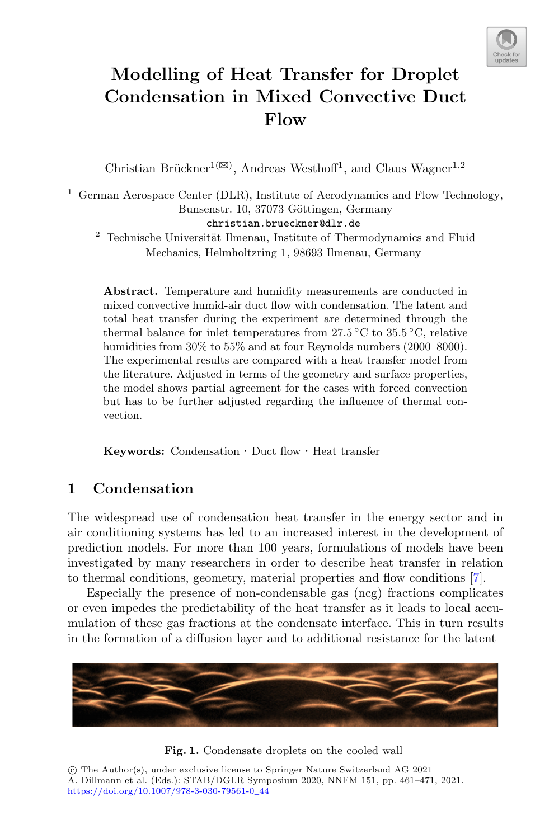

# **Modelling of Heat Transfer for Droplet Condensation in Mixed Convective Duct Flow**

Christian Brückner<sup>1( $\boxtimes$ )</sup>, Andreas Westhoff<sup>1</sup>, and Claus Wagner<sup>1,2</sup>

<sup>1</sup> German Aerospace Center (DLR), Institute of Aerodynamics and Flow Technology, Bunsenstr. 10, 37073 Göttingen, Germany christian.brueckner@dlr.de

 $2$  Technische Universität Ilmenau, Institute of Thermodynamics and Fluid Mechanics, Helmholtzring 1, 98693 Ilmenau, Germany

**Abstract.** Temperature and humidity measurements are conducted in mixed convective humid-air duct flow with condensation. The latent and total heat transfer during the experiment are determined through the thermal balance for inlet temperatures from  $27.5\,^{\circ}\text{C}$  to  $35.5\,^{\circ}\text{C}$ , relative humidities from  $30\%$  to  $55\%$  and at four Reynolds numbers (2000–8000). The experimental results are compared with a heat transfer model from the literature. Adjusted in terms of the geometry and surface properties, the model shows partial agreement for the cases with forced convection but has to be further adjusted regarding the influence of thermal convection.

**Keywords:** Condensation *·* Duct flow *·* Heat transfer

# **1 Condensation**

The widespread use of condensation heat transfer in the energy sector and in air conditioning systems has led to an increased interest in the development of prediction models. For more than 100 years, formulations of models have been investigated by many researchers in order to describe heat transfer in relation to thermal conditions, geometry, material properties and flow conditions [\[7](#page-9-0)].

Especially the presence of non-condensable gas (ncg) fractions complicates or even impedes the predictability of the heat transfer as it leads to local accumulation of these gas fractions at the condensate interface. This in turn results in the formation of a diffusion layer and to additional resistance for the latent



<span id="page-0-0"></span>

-c The Author(s), under exclusive license to Springer Nature Switzerland AG 2021 A. Dillmann et al. (Eds.): STAB/DGLR Symposium 2020, NNFM 151, pp. 461–471, 2021. [https://doi.org/10.1007/978-3-030-79561-0](https://doi.org/10.1007/978-3-030-79561-0_44)\_44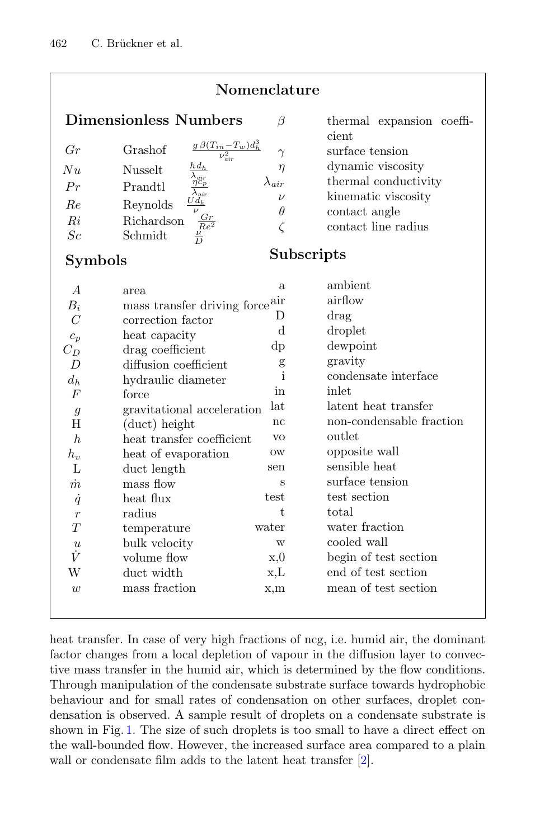| Nomenclature              |                                                                        |                 |                                    |
|---------------------------|------------------------------------------------------------------------|-----------------|------------------------------------|
|                           | <b>Dimensionless Numbers</b>                                           | $\beta$         | thermal expansion coeffi-<br>cient |
| Gr                        | $\frac{g\,\beta (T_{in}-T_w)d_h^3}{\nu^2_{air}}$<br>Grashof            | $\gamma$        | surface tension                    |
| Nu                        | $hd_h$<br><b>Nusselt</b><br>$\lambda_{\mathit{air}}$                   | $\eta$          | dynamic viscosity                  |
| Pr                        | $\frac{\eta c_p}{\lambda_{air}}$<br>Prandtl                            | $\lambda_{air}$ | thermal conductivity               |
| Re                        | $Ud_h$<br>Reynolds                                                     | $\nu$           | kinematic viscosity                |
| $R_i$                     | Richardson                                                             | $\theta$        | contact angle                      |
| Sc                        | $\frac{\frac{e}{\nu}}{\frac{Re^2}{D}}$<br>Schmidt                      | $\zeta$         | contact line radius                |
| Subscripts<br>Symbols     |                                                                        |                 |                                    |
|                           |                                                                        | a               | ambient                            |
| $\boldsymbol{A}$<br>$B_i$ | area<br>mass transfer driving force $\mathop{\mathrm{air}}\limits_{-}$ |                 | airflow                            |
| $\overline{C}$            | correction factor                                                      | D               | drag                               |
|                           | heat capacity                                                          | d               | droplet                            |
| $c_p$<br>$C_D$            | drag coefficient                                                       | dp              | dewpoint                           |
| $\overline{D}$            | diffusion coefficient                                                  | $\mathbf{g}$    | gravity                            |
| $d_h$                     | hydraulic diameter                                                     | $\mathbf{i}$    | condensate interface               |
| $\overline{F}$            | force                                                                  | in              | inlet                              |
| $\mathfrak{g}$            | gravitational acceleration                                             | lat             | latent heat transfer               |
| H                         | (duct) height                                                          | nc              | non-condensable fraction           |
| h                         | heat transfer coefficient                                              | V <sub>O</sub>  | outlet                             |
| $h_v$                     | heat of evaporation                                                    | <b>OW</b>       | opposite wall                      |
| L                         | duct length                                                            | sen             | sensible heat                      |
| $\dot{m}$                 | mass flow                                                              | S               | surface tension                    |
| $\dot{q}$                 | heat flux                                                              | test            | test section                       |
| $\overline{r}$            | radius                                                                 | t.              | total                              |
| T                         | temperature                                                            | water           | water fraction                     |
| $\boldsymbol{\mathit{u}}$ | bulk velocity                                                          | W               | cooled wall                        |
| Ϋ́                        | volume flow                                                            | x,0             | begin of test section              |
| W                         | duct width                                                             | x,L             | end of test section                |
| $\overline{w}$            | mass fraction                                                          | x,m             | mean of test section               |
|                           |                                                                        |                 |                                    |

heat transfer. In case of very high fractions of ncg, i.e. humid air, the dominant factor changes from a local depletion of vapour in the diffusion layer to convective mass transfer in the humid air, which is determined by the flow conditions. Through manipulation of the condensate substrate surface towards hydrophobic behaviour and for small rates of condensation on other surfaces, droplet condensation is observed. A sample result of droplets on a condensate substrate is shown in Fig. [1.](#page-0-0) The size of such droplets is too small to have a direct effect on the wall-bounded flow. However, the increased surface area compared to a plain wall or condensate film adds to the latent heat transfer [\[2](#page-9-1)].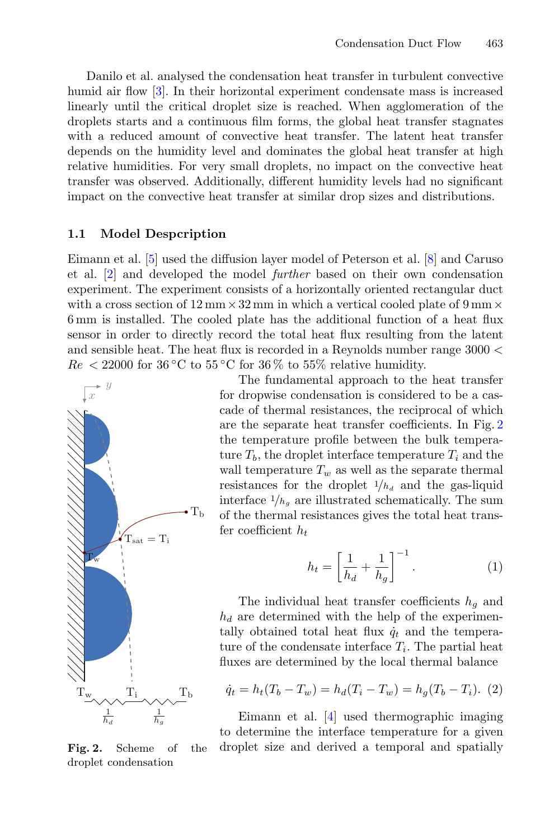Danilo et al. analysed the condensation heat transfer in turbulent convective humid air flow [\[3](#page-9-2)]. In their horizontal experiment condensate mass is increased linearly until the critical droplet size is reached. When agglomeration of the droplets starts and a continuous film forms, the global heat transfer stagnates with a reduced amount of convective heat transfer. The latent heat transfer depends on the humidity level and dominates the global heat transfer at high relative humidities. For very small droplets, no impact on the convective heat transfer was observed. Additionally, different humidity levels had no significant impact on the convective heat transfer at similar drop sizes and distributions.

#### **1.1 Model Despcription**

Eimann et al. [\[5\]](#page-9-3) used the diffusion layer model of Peterson et al. [\[8](#page-10-0)] and Caruso et al. [\[2\]](#page-9-1) and developed the model *further* based on their own condensation experiment. The experiment consists of a horizontally oriented rectangular duct with a cross section of 12 mm*×*32 mm in which a vertical cooled plate of 9 mm*×* 6 mm is installed. The cooled plate has the additional function of a heat flux sensor in order to directly record the total heat flux resulting from the latent and sensible heat. The heat flux is recorded in a Reynolds number range 3000 <  $Re < 22000$  for 36 °C to 55 °C for 36 % to 55% relative humidity.



The fundamental approach to the heat transfer for dropwise condensation is considered to be a cascade of thermal resistances, the reciprocal of which are the separate heat transfer coefficients. In Fig. [2](#page-2-0) the temperature profile between the bulk temperature  $T_b$ , the droplet interface temperature  $T_i$  and the wall temperature  $T_w$  as well as the separate thermal resistances for the droplet  $1/h_d$  and the gas-liquid interface  $1/h_q$  are illustrated schematically. The sum of the thermal resistances gives the total heat transfer coefficient  $h_t$ 

$$
h_t = \left[\frac{1}{h_d} + \frac{1}{h_g}\right]^{-1}.\tag{1}
$$

The individual heat transfer coefficients  $h<sub>g</sub>$  and  $h_d$  are determined with the help of the experimentally obtained total heat flux  $\dot{q}_t$  and the temperature of the condensate interface  $T_i$ . The partial heat fluxes are determined by the local thermal balance

$$
\dot{q}_t = h_t(T_b - T_w) = h_d(T_i - T_w) = h_g(T_b - T_i). \tag{2}
$$

Eimann et al. [\[4\]](#page-9-4) used thermographic imaging to determine the interface temperature for a given droplet size and derived a temporal and spatially

<span id="page-2-0"></span>**Fig. 2.** Scheme of the droplet condensation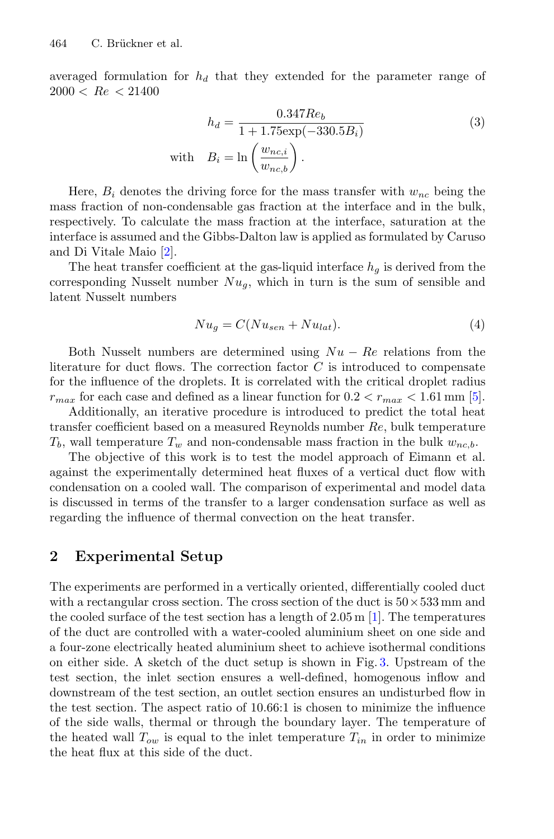averaged formulation for  $h_d$  that they extended for the parameter range of  $2000 < Re < 21400$ 

$$
h_d = \frac{0.347 Re_b}{1 + 1.75 \exp(-330.5B_i)}
$$
\n
$$
\text{with} \quad B_i = \ln\left(\frac{w_{nc,i}}{w_{nc,b}}\right). \tag{3}
$$

Here,  $B_i$  denotes the driving force for the mass transfer with  $w_{nc}$  being the mass fraction of non-condensable gas fraction at the interface and in the bulk, respectively. To calculate the mass fraction at the interface, saturation at the interface is assumed and the Gibbs-Dalton law is applied as formulated by Caruso and Di Vitale Maio [\[2](#page-9-1)].

The heat transfer coefficient at the gas-liquid interface  $h_q$  is derived from the corresponding Nusselt number  $Nu_a$ , which in turn is the sum of sensible and latent Nusselt numbers

$$
Nu_g = C(Nu_{sen} + Nu_{lat}).
$$
\n(4)

Both Nusselt numbers are determined using Nu *−* Re relations from the literature for duct flows. The correction factor  $C$  is introduced to compensate for the influence of the droplets. It is correlated with the critical droplet radius  $r_{max}$  for each case and defined as a linear function for  $0.2 < r_{max} < 1.61$  mm [\[5\]](#page-9-3).

Additionally, an iterative procedure is introduced to predict the total heat transfer coefficient based on a measured Reynolds number Re, bulk temperature  $T_b$ , wall temperature  $T_w$  and non-condensable mass fraction in the bulk  $w_{nc,b}$ .

The objective of this work is to test the model approach of Eimann et al. against the experimentally determined heat fluxes of a vertical duct flow with condensation on a cooled wall. The comparison of experimental and model data is discussed in terms of the transfer to a larger condensation surface as well as regarding the influence of thermal convection on the heat transfer.

### **2 Experimental Setup**

The experiments are performed in a vertically oriented, differentially cooled duct with a rectangular cross section. The cross section of the duct is 50*×*533 mm and the cooled surface of the test section has a length of 2.05 m [\[1\]](#page-9-5). The temperatures of the duct are controlled with a water-cooled aluminium sheet on one side and a four-zone electrically heated aluminium sheet to achieve isothermal conditions on either side. A sketch of the duct setup is shown in Fig. [3.](#page-4-0) Upstream of the test section, the inlet section ensures a well-defined, homogenous inflow and downstream of the test section, an outlet section ensures an undisturbed flow in the test section. The aspect ratio of 10.66:1 is chosen to minimize the influence of the side walls, thermal or through the boundary layer. The temperature of the heated wall  $T_{ow}$  is equal to the inlet temperature  $T_{in}$  in order to minimize the heat flux at this side of the duct.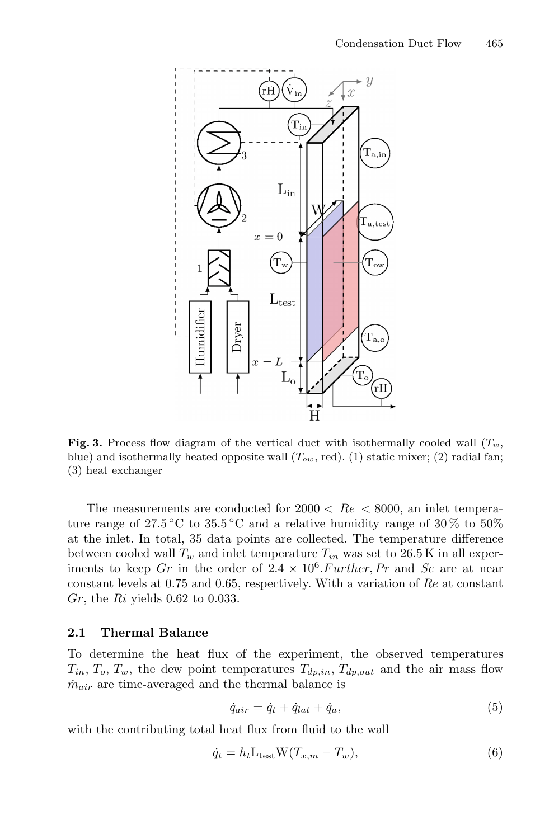

<span id="page-4-0"></span>**Fig. 3.** Process flow diagram of the vertical duct with isothermally cooled wall  $(T_w)$ , blue) and isothermally heated opposite wall (T*ow*, red). (1) static mixer; (2) radial fan; (3) heat exchanger

The measurements are conducted for  $2000 < Re < 8000$ , an inlet temperature range of 27.5 °C to 35.5 °C and a relative humidity range of 30 % to 50% at the inlet. In total, 35 data points are collected. The temperature difference between cooled wall  $T_w$  and inlet temperature  $T_{in}$  was set to 26.5 K in all experiments to keep Gr in the order of  $2.4 \times 10^6$ . Further, Pr and Sc are at near constant levels at 0.75 and 0.65, respectively. With a variation of Re at constant  $Gr$ , the  $R_i$  yields 0.62 to 0.033.

#### **2.1 Thermal Balance**

To determine the heat flux of the experiment, the observed temperatures  $T_{in}$ ,  $T_o$ ,  $T_w$ , the dew point temperatures  $T_{dp,in}$ ,  $T_{dp,out}$  and the air mass flow  $\dot{m}_{air}$  are time-averaged and the thermal balance is

$$
\dot{q}_{air} = \dot{q}_t + \dot{q}_{lat} + \dot{q}_a,\tag{5}
$$

with the contributing total heat flux from fluid to the wall

$$
\dot{q}_t = h_t \mathcal{L}_{\text{test}} \mathcal{W}(T_{x,m} - T_w),\tag{6}
$$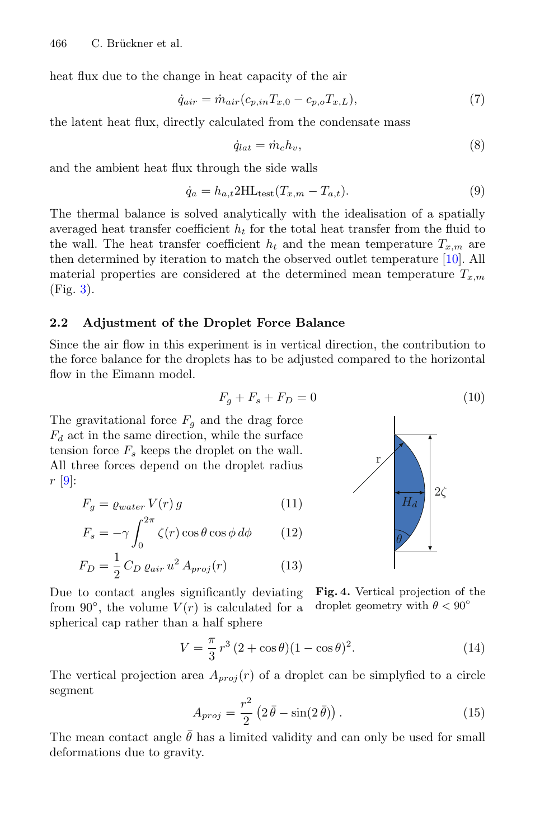heat flux due to the change in heat capacity of the air

$$
\dot{q}_{air} = \dot{m}_{air}(c_{p,in}T_{x,0} - c_{p,o}T_{x,L}),
$$
\n(7)

the latent heat flux, directly calculated from the condensate mass

$$
\dot{q}_{lat} = \dot{m}_c h_v,\tag{8}
$$

and the ambient heat flux through the side walls

$$
\dot{q}_a = h_{a,t} 2HL_{\text{test}} (T_{x,m} - T_{a,t}). \tag{9}
$$

The thermal balance is solved analytically with the idealisation of a spatially averaged heat transfer coefficient  $h_t$  for the total heat transfer from the fluid to the wall. The heat transfer coefficient  $h_t$  and the mean temperature  $T_{x,m}$  are then determined by iteration to match the observed outlet temperature [\[10\]](#page-10-1). All material properties are considered at the determined mean temperature  $T_{x,m}$ (Fig. [3\)](#page-4-0).

#### **2.2 Adjustment of the Droplet Force Balance**

Since the air flow in this experiment is in vertical direction, the contribution to the force balance for the droplets has to be adjusted compared to the horizontal flow in the Eimann model.

$$
F_g + F_s + F_D = 0\tag{10}
$$

The gravitational force  $F<sub>g</sub>$  and the drag force  $F_d$  act in the same direction, while the surface tension force  $F_s$  keeps the droplet on the wall. All three forces depend on the droplet radius  $r \vert 9$ :

$$
F_g = \varrho_{water} V(r) g \tag{11}
$$

$$
F_s = -\gamma \int_0^{2\pi} \zeta(r) \cos \theta \cos \phi \, d\phi \qquad (12)
$$

$$
F_D = \frac{1}{2} C_D \varrho_{air} u^2 A_{proj}(r)
$$
 (13)



**Fig. 4.** Vertical projection of the droplet geometry with  $\theta < 90^{\circ}$ Due to contact angles significantly deviating from 90 $^{\circ}$ , the volume  $V(r)$  is calculated for a spherical cap rather than a half sphere

$$
V = \frac{\pi}{3} r^3 (2 + \cos \theta)(1 - \cos \theta)^2.
$$
 (14)

The vertical projection area  $A_{proj}(r)$  of a droplet can be simplyfied to a circle segment

$$
A_{proj} = \frac{r^2}{2} \left( 2\bar{\theta} - \sin(2\bar{\theta}) \right). \tag{15}
$$

The mean contact angle  $\bar{\theta}$  has a limited validity and can only be used for small deformations due to gravity.

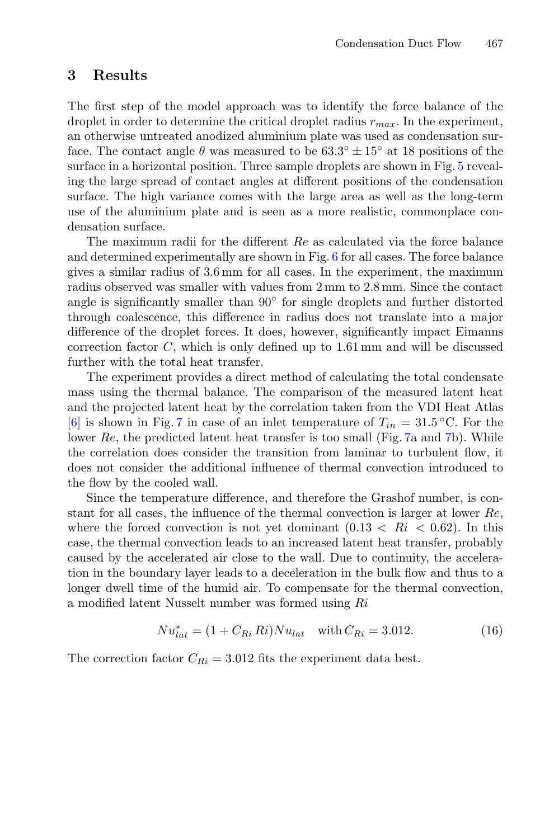### **3 Results**

The first step of the model approach was to identify the force balance of the droplet in order to determine the critical droplet radius  $r_{max}$ . In the experiment, an otherwise untreated anodized aluminium plate was used as condensation surface. The contact angle  $\theta$  was measured to be  $63.3° \pm 15°$  at 18 positions of the surface in a horizontal position. Three sample droplets are shown in Fig. [5](#page-7-0) revealing the large spread of contact angles at different positions of the condensation surface. The high variance comes with the large area as well as the long-term use of the aluminium plate and is seen as a more realistic, commonplace condensation surface.

The maximum radii for the different Re as calculated via the force balance and determined experimentally are shown in Fig. [6](#page-7-1) for all cases. The force balance gives a similar radius of 3.6 mm for all cases. In the experiment, the maximum radius observed was smaller with values from 2 mm to 2.8 mm. Since the contact angle is significantly smaller than 90◦ for single droplets and further distorted through coalescence, this difference in radius does not translate into a major difference of the droplet forces. It does, however, significantly impact Eimanns correction factor C, which is only defined up to 1.61 mm and will be discussed further with the total heat transfer.

The experiment provides a direct method of calculating the total condensate mass using the thermal balance. The comparison of the measured latent heat and the projected latent heat by the correlation taken from the VDI Heat Atlas [\[6](#page-9-6)] is shown in Fig. [7](#page-7-2) in case of an inlet temperature of  $T_{in} = 31.5 \degree C$ . For the lower Re, the predicted latent heat transfer is too small (Fig. [7a](#page-7-2) and [7b](#page-7-2)). While the correlation does consider the transition from laminar to turbulent flow, it does not consider the additional influence of thermal convection introduced to the flow by the cooled wall.

Since the temperature difference, and therefore the Grashof number, is constant for all cases, the influence of the thermal convection is larger at lower Re, where the forced convection is not yet dominant  $(0.13 < Ri < 0.62)$ . In this case, the thermal convection leads to an increased latent heat transfer, probably caused by the accelerated air close to the wall. Due to continuity, the acceleration in the boundary layer leads to a deceleration in the bulk flow and thus to a longer dwell time of the humid air. To compensate for the thermal convection, a modified latent Nusselt number was formed using Ri

$$
Nu_{lat}^* = (1 + C_{Ri} Ri)Nu_{lat} \quad \text{with } C_{Ri} = 3.012. \tag{16}
$$

The correction factor  $C_{Ri} = 3.012$  fits the experiment data best.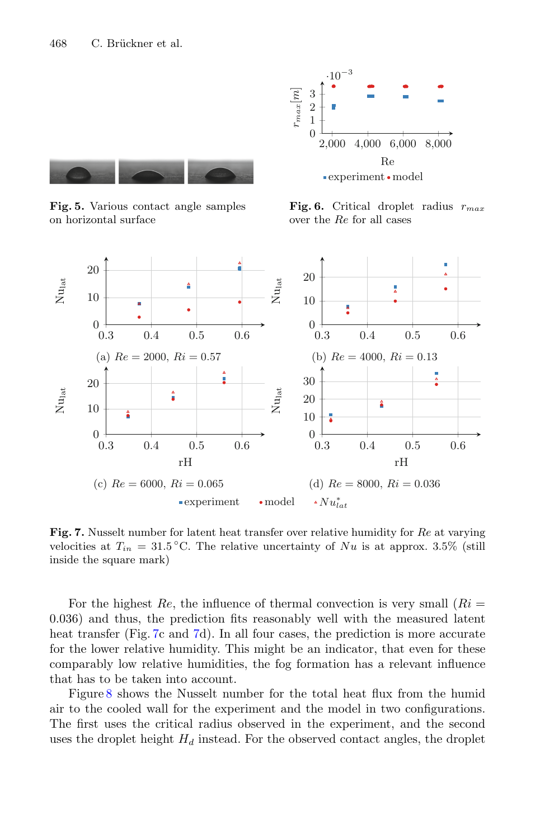

<span id="page-7-0"></span>**Fig. 5.** Various contact angle samples on horizontal surface



<span id="page-7-1"></span>**Fig. 6.** Critical droplet radius r*max* over the Re for all cases



<span id="page-7-2"></span>**Fig. 7.** Nusselt number for latent heat transfer over relative humidity for Re at varying velocities at  $T_{in} = 31.5 \degree C$ . The relative uncertainty of Nu is at approx. 3.5% (still inside the square mark)

For the highest  $Re$ , the influence of thermal convection is very small  $(Ri =$ 0.036) and thus, the prediction fits reasonably well with the measured latent heat transfer (Fig. [7c](#page-7-2) and [7d](#page-7-2)). In all four cases, the prediction is more accurate for the lower relative humidity. This might be an indicator, that even for these comparably low relative humidities, the fog formation has a relevant influence that has to be taken into account.

Figure [8](#page-8-0) shows the Nusselt number for the total heat flux from the humid air to the cooled wall for the experiment and the model in two configurations. The first uses the critical radius observed in the experiment, and the second uses the droplet height  $H_d$  instead. For the observed contact angles, the droplet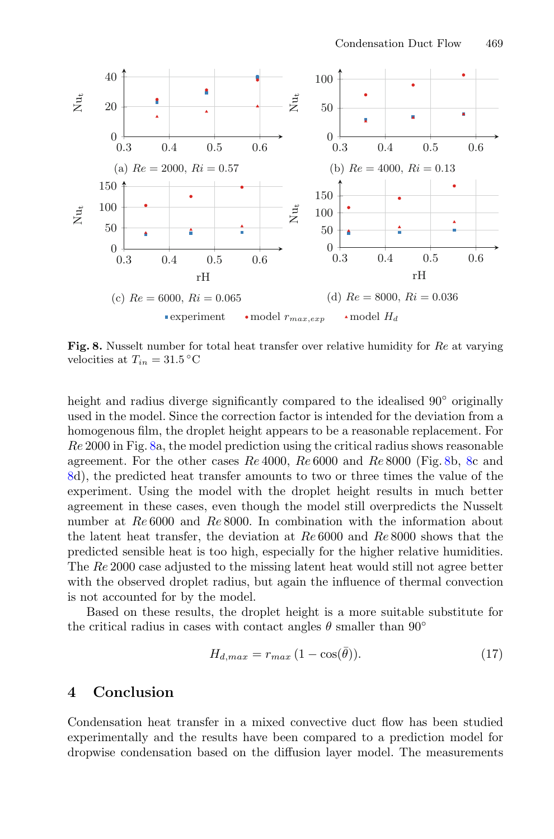

<span id="page-8-0"></span>**Fig. 8.** Nusselt number for total heat transfer over relative humidity for Re at varying velocities at  $T_{in} = 31.5\,^{\circ}\mathrm{C}$ 

height and radius diverge significantly compared to the idealised 90<sup>°</sup> originally used in the model. Since the correction factor is intended for the deviation from a homogenous film, the droplet height appears to be a reasonable replacement. For Re 2000 in Fig. [8a](#page-8-0), the model prediction using the critical radius shows reasonable agreement. For the other cases  $Re\ 4000$ ,  $Re\ 6000$  and  $Re\ 8000$  (Fig. [8b](#page-8-0), [8c](#page-8-0) and [8d](#page-8-0)), the predicted heat transfer amounts to two or three times the value of the experiment. Using the model with the droplet height results in much better agreement in these cases, even though the model still overpredicts the Nusselt number at Re 6000 and Re 8000. In combination with the information about the latent heat transfer, the deviation at Re 6000 and Re 8000 shows that the predicted sensible heat is too high, especially for the higher relative humidities. The Re 2000 case adjusted to the missing latent heat would still not agree better with the observed droplet radius, but again the influence of thermal convection is not accounted for by the model.

Based on these results, the droplet height is a more suitable substitute for the critical radius in cases with contact angles  $\theta$  smaller than 90 $\degree$ 

$$
H_{d,max} = r_{max} \left( 1 - \cos(\bar{\theta}) \right). \tag{17}
$$

## **4 Conclusion**

Condensation heat transfer in a mixed convective duct flow has been studied experimentally and the results have been compared to a prediction model for dropwise condensation based on the diffusion layer model. The measurements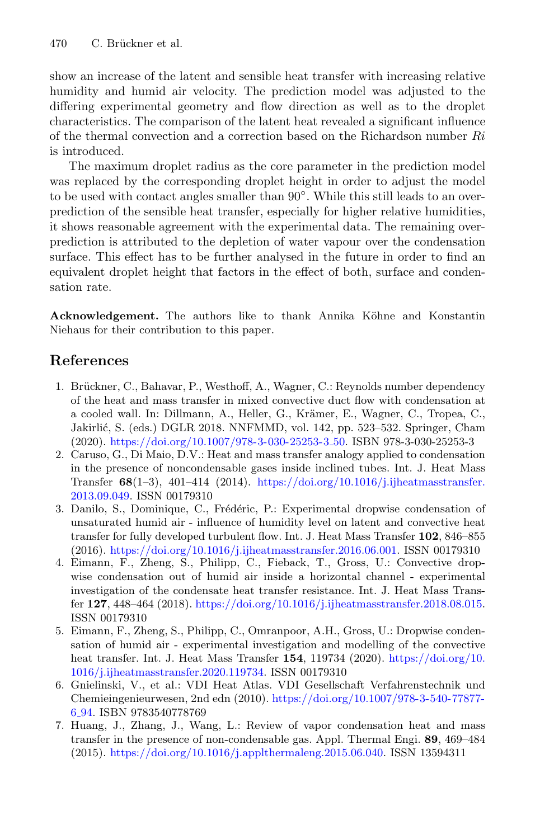show an increase of the latent and sensible heat transfer with increasing relative humidity and humid air velocity. The prediction model was adjusted to the differing experimental geometry and flow direction as well as to the droplet characteristics. The comparison of the latent heat revealed a significant influence of the thermal convection and a correction based on the Richardson number  $Ri$ is introduced.

The maximum droplet radius as the core parameter in the prediction model was replaced by the corresponding droplet height in order to adjust the model to be used with contact angles smaller than 90◦. While this still leads to an overprediction of the sensible heat transfer, especially for higher relative humidities, it shows reasonable agreement with the experimental data. The remaining overprediction is attributed to the depletion of water vapour over the condensation surface. This effect has to be further analysed in the future in order to find an equivalent droplet height that factors in the effect of both, surface and condensation rate.

**Acknowledgement.** The authors like to thank Annika Köhne and Konstantin Niehaus for their contribution to this paper.

# **References**

- <span id="page-9-5"></span>1. Brückner, C., Bahavar, P., Westhoff, A., Wagner, C.: Reynolds number dependency of the heat and mass transfer in mixed convective duct flow with condensation at a cooled wall. In: Dillmann, A., Heller, G., Krämer, E., Wagner, C., Tropea, C., Jakirli´c, S. (eds.) DGLR 2018. NNFMMD, vol. 142, pp. 523–532. Springer, Cham (2020). [https://doi.org/10.1007/978-3-030-25253-3](https://doi.org/10.1007/978-3-030-25253-3_50) 50. ISBN 978-3-030-25253-3
- <span id="page-9-1"></span>2. Caruso, G., Di Maio, D.V.: Heat and mass transfer analogy applied to condensation in the presence of noncondensable gases inside inclined tubes. Int. J. Heat Mass Transfer **68**(1–3), 401–414 (2014). [https://doi.org/10.1016/j.ijheatmasstransfer.](https://doi.org/10.1016/j.ijheatmasstransfer.2013.09.049) [2013.09.049.](https://doi.org/10.1016/j.ijheatmasstransfer.2013.09.049) ISSN 00179310
- <span id="page-9-2"></span>3. Danilo, S., Dominique, C., Frédéric, P.: Experimental dropwise condensation of unsaturated humid air - influence of humidity level on latent and convective heat transfer for fully developed turbulent flow. Int. J. Heat Mass Transfer **102**, 846–855 (2016). [https://doi.org/10.1016/j.ijheatmasstransfer.2016.06.001.](https://doi.org/10.1016/j.ijheatmasstransfer.2016.06.001) ISSN 00179310
- <span id="page-9-4"></span>4. Eimann, F., Zheng, S., Philipp, C., Fieback, T., Gross, U.: Convective dropwise condensation out of humid air inside a horizontal channel - experimental investigation of the condensate heat transfer resistance. Int. J. Heat Mass Transfer **127**, 448–464 (2018). [https://doi.org/10.1016/j.ijheatmasstransfer.2018.08.015.](https://doi.org/10.1016/j.ijheatmasstransfer.2018.08.015) ISSN 00179310
- <span id="page-9-3"></span>5. Eimann, F., Zheng, S., Philipp, C., Omranpoor, A.H., Gross, U.: Dropwise condensation of humid air - experimental investigation and modelling of the convective heat transfer. Int. J. Heat Mass Transfer **154**, 119734 (2020). [https://doi.org/10.](https://doi.org/10.1016/j.ijheatmasstransfer.2020.119734) [1016/j.ijheatmasstransfer.2020.119734.](https://doi.org/10.1016/j.ijheatmasstransfer.2020.119734) ISSN 00179310
- <span id="page-9-6"></span>6. Gnielinski, V., et al.: VDI Heat Atlas. VDI Gesellschaft Verfahrenstechnik und Chemieingenieurwesen, 2nd edn (2010). [https://doi.org/10.1007/978-3-540-77877-](https://doi.org/10.1007/978-3-540-77877-6_94) 6 [94.](https://doi.org/10.1007/978-3-540-77877-6_94) ISBN 9783540778769
- <span id="page-9-0"></span>7. Huang, J., Zhang, J., Wang, L.: Review of vapor condensation heat and mass transfer in the presence of non-condensable gas. Appl. Thermal Engi. **89**, 469–484 (2015). [https://doi.org/10.1016/j.applthermaleng.2015.06.040.](https://doi.org/10.1016/j.applthermaleng.2015.06.040) ISSN 13594311